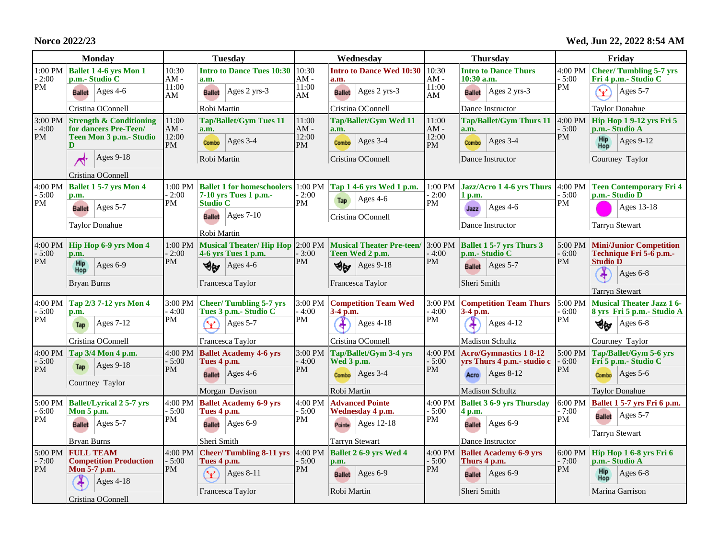**Norco 2022/23**

**Wed, Jun 22, 2022 8:54 AM**

| <b>Monday</b>                      |                                                                                                | <b>Tuesday</b>                      |                                                                                                | Wednesday                      |                                                                              | <b>Thursday</b>                 |                                                               | Friday                          |                                                                |
|------------------------------------|------------------------------------------------------------------------------------------------|-------------------------------------|------------------------------------------------------------------------------------------------|--------------------------------|------------------------------------------------------------------------------|---------------------------------|---------------------------------------------------------------|---------------------------------|----------------------------------------------------------------|
| 1:00 PM<br>$-2:00$<br>PM           | <b>Ballet 1 4-6 yrs Mon 1</b><br>p.m.- Studio C                                                | 10:30<br>$AM -$<br>11:00            | <b>Intro to Dance Tues 10:30</b><br>a.m.                                                       | 10:30<br>AM -<br>11:00         | <b>Intro to Dance Wed 10:30</b><br>a.m.                                      | 10:30<br>$AM -$<br>11:00        | <b>Intro to Dance Thurs</b><br>$10:30$ a.m.                   | 4:00 PM<br>$-5:00$<br>PM        | <b>Cheer/Tumbling 5-7 yrs</b><br>Fri 4 p.m.- Studio C          |
|                                    | <b>Ballet</b> Ages 4-6                                                                         | AM                                  | $ Ages 2 yrs-3$<br><b>Ballet</b>                                                               | AM                             | Ages 2 yrs-3<br><b>Ballet</b>                                                | AM                              | <b>Ballet</b>   Ages 2 yrs-3                                  |                                 | Y<br>$\text{Ages } 5-7$                                        |
|                                    | Cristina OConnell                                                                              |                                     | Robi Martin                                                                                    |                                | Cristina OConnell                                                            |                                 | Dance Instructor                                              |                                 | <b>Taylor Donahue</b>                                          |
| $-4:00$<br>PM                      | $3:00 \text{ PM}$ Strength & Conditioning<br>for dancers Pre-Teen/<br>Teen Mon 3 p.m. - Studio | 11:00<br>AM -<br>12:00<br><b>PM</b> | <b>Tap/Ballet/Gym Tues 11</b><br>a.m.                                                          | 11:00<br>$AM -$<br>12:00<br>PM | Tap/Ballet/Gym Wed 11<br>a.m.                                                | 11:00<br>$AM -$<br>12:00<br>PM  | <b>Tap/Ballet/Gym Thurs 11</b><br>a.m.                        | 4:00 PM<br>$-5:00$<br>PM        | <b>Hip Hop 1 9-12 yrs Fri 5</b><br>p.m.- Studio A              |
|                                    | D                                                                                              |                                     | $Ages$ 3-4<br>Combo                                                                            |                                | Ages 3-4<br>Combo                                                            |                                 | $ Ages 3-4$<br>Combo                                          |                                 | <b>Hip</b><br>$ Ages 9-12$<br>Hop                              |
|                                    | Ages $9-18$                                                                                    |                                     | Robi Martin                                                                                    |                                | Cristina OConnell                                                            |                                 | Dance Instructor                                              |                                 | Courtney Taylor                                                |
|                                    | Cristina OConnell                                                                              |                                     |                                                                                                |                                |                                                                              |                                 |                                                               |                                 |                                                                |
| 4:00 PM<br>$-5:00$<br>PM           | <b>Ballet 1 5-7 yrs Mon 4</b><br>p.m.                                                          | 2:00<br>PM                          | 1:00 PM Ballet 1 for homeschoolers 1:00 PM Tap 1 4-6 yrs Wed 1 p.m.<br>$7-10$ vrs Tues 1 p.m.- | $-2:00$<br>PM                  | Ages $4-6$<br>Tap                                                            | $-2:00$                         | $1:00 \text{ PM}$ Jazz/Acro 1 4-6 yrs Thurs 4:00 PM<br>1 p.m. | $-5:00$<br><b>PM</b>            | <b>Teen Contemporary Fri 4</b><br>p.m.- Studio D               |
|                                    | Ages $5-7$<br><b>Ballet</b>                                                                    |                                     | <b>Studio C</b><br>$ Ages 7-10$<br><b>Ballet</b>                                               |                                | Cristina OConnell                                                            | PM                              | $Ages$ 4-6<br>Jazz                                            |                                 | Ages 13-18                                                     |
|                                    | <b>Taylor Donahue</b>                                                                          |                                     | Robi Martin                                                                                    |                                |                                                                              |                                 | Dance Instructor                                              |                                 | <b>Tarryn Stewart</b>                                          |
| 4:00 PM<br>$-5:00$<br>PM           | Hip Hop 6-9 yrs Mon 4<br>p.m.                                                                  | $1:00$ PM<br>$-2:00$<br>PM          | 4-6 yrs Tues 1 p.m.                                                                            | $-3:00$<br>PM                  | Musical Theater/Hip Hop 2:00 PM Musical Theater Pre-teen/<br>Teen Wed 2 p.m. | 3:00 PM<br>$-4:00$<br>PM        | <b>Ballet 1 5-7 yrs Thurs 3</b><br>p.m.- Studio C             | 5:00 PM<br>$-6:00$<br><b>PM</b> | <b>Mini/Junior Competition</b><br>Technique Fri $5-6$ p.m.-    |
|                                    | Hip<br>Hop<br>Ages $6-9$                                                                       |                                     | Ages $4-6$<br>Ψw                                                                               |                                | <b>Ages 9-18</b><br>Ψœ                                                       |                                 | <b>Ballet</b> Ages 5-7                                        |                                 | <b>Studio D</b><br>¥<br>Ages $6-8$                             |
|                                    | <b>Bryan Burns</b>                                                                             |                                     | Francesca Taylor                                                                               | Francesca Taylor               |                                                                              | Sheri Smith                     |                                                               |                                 | <b>Tarryn Stewart</b>                                          |
| 4:00 PM<br>$-5:00$<br>PM           | Tap 2/3 7-12 yrs Mon 4<br>p.m.                                                                 | 3:00 PM<br>$-4:00$<br>PM            | <b>Cheer/Tumbling 5-7 yrs</b><br>Tues 3 p.m. - Studio C                                        | 3:00 PM<br>- 4:00<br>PM        | <b>Competition Team Wed</b><br>$3-4$ p.m.                                    | 3:00 PM<br>$-4:00$<br><b>PM</b> | <b>Competition Team Thurs</b><br>3-4 p.m.                     | 5:00 PM<br>- 6:00<br>PM         | <b>Musical Theater Jazz 16-</b><br>8 yrs Fri 5 p.m. - Studio A |
|                                    | Ages $7-12$<br>Tap                                                                             |                                     | Ages $5-7$<br>v                                                                                |                                | <b>Ages 4-18</b>                                                             |                                 | Ages $4-12$                                                   |                                 | Ages $6-8$<br>৩⊌                                               |
|                                    | Cristina OConnell                                                                              |                                     | Francesca Taylor                                                                               |                                | Cristina OConnell                                                            |                                 | <b>Madison Schultz</b>                                        |                                 | Courtney Taylor                                                |
| 4:00 PM<br>$-5:00$<br>PM           | Tap 3/4 Mon 4 p.m.<br>$Ages 9-18$<br>Tap                                                       | 4:00 PM<br>$-5:00$<br>PM            | <b>Ballet Academy 4-6 yrs</b><br>Tues 4 p.m.                                                   | 3:00 PM<br>$-4:00$             | Tap/Ballet/Gym 3-4 yrs<br>Wed 3 p.m.                                         | 4:00 PM<br>$-5:00$              | <b>Acro/Gymnastics 18-12</b><br>yrs Thurs 4 p.m.- studio c    | 5:00 PM<br>$-6:00$              | Tap/Ballet/Gym 5-6 yrs<br>Fri 5 p.m. - Studio C                |
|                                    | Courtney Taylor                                                                                |                                     | Ages $4-6$<br><b>Ballet</b>                                                                    | PM                             | Ages 3-4<br>Combo                                                            | PM                              | $ Ages 8-12$<br>Acro                                          | PM                              | $\text{Ages } 5-6$<br>Combo                                    |
|                                    |                                                                                                |                                     | Morgan Davison                                                                                 |                                | Robi Martin                                                                  |                                 | <b>Madison Schultz</b>                                        |                                 | <b>Taylor Donahue</b>                                          |
| 5:00 PM<br>$-6:00$<br>PM           | <b>Ballet/Lyrical 2 5-7 yrs</b><br>Mon 5 p.m.                                                  | 4:00 PM<br>$-5:00$<br><b>PM</b>     | <b>Ballet Academy 6-9 yrs</b><br>Tues 4 p.m.                                                   | 4:00 PM<br>$-5:00$<br>PM       | <b>Advanced Pointe</b><br>Wednesday 4 p.m.                                   | 4:00 PM<br>$-5:00$<br>PM        | <b>Ballet 3 6-9 yrs Thursday</b><br>4 p.m.                    | 6:00 PM<br>- 7:00<br>PM         | Ballet 1 5-7 yrs Fri 6 p.m.                                    |
|                                    | Ages $5-7$<br><b>Ballet</b>                                                                    |                                     | $\text{Ages } 6-9$<br><b>Ballet</b>                                                            |                                | Ages 12-18<br>Pointe                                                         |                                 | <b>Ballet</b> Ages 6-9                                        |                                 | Ages $5-7$<br><b>Ballet</b><br><b>Tarryn Stewart</b>           |
|                                    | Bryan Burns                                                                                    |                                     | Sheri Smith                                                                                    |                                | <b>Tarryn Stewart</b>                                                        |                                 | Dance Instructor                                              |                                 |                                                                |
| $5:00 \text{ PM}$<br>$-7:00$<br>PM | <b>FULL TEAM</b><br><b>Competition Production</b>                                              | $-5:00$<br>PM                       | 4:00 PM Cheer/Tumbling 8-11 yrs $4:00$ PM<br>Tues 4 p.m.                                       | $-5:00$<br>PM                  | Ballet 2 6-9 yrs Wed 4<br>p.m.                                               | 4:00 PM<br>$-5:00$<br>PM        | <b>Ballet Academy 6-9 yrs</b><br>Thurs 4 p.m.                 | 6:00 PM<br>$-7:00$<br>PM        | Hip Hop 1 6-8 yrs Fri 6<br>p.m.- Studio A                      |
|                                    | Mon 5-7 p.m.<br><b>Ages 4-18</b>                                                               |                                     | $\mathbf{\hat{Y}}$<br>Ages 8-11                                                                |                                | Ages 6-9<br><b>Ballet</b>                                                    |                                 | <b>Ballet</b> Ages 6-9                                        |                                 | Hip<br>Ages $6-8$<br>Hop                                       |
|                                    | Cristina OConnell                                                                              |                                     | Francesca Taylor                                                                               |                                | Robi Martin                                                                  |                                 | Sheri Smith                                                   |                                 | Marina Garrison                                                |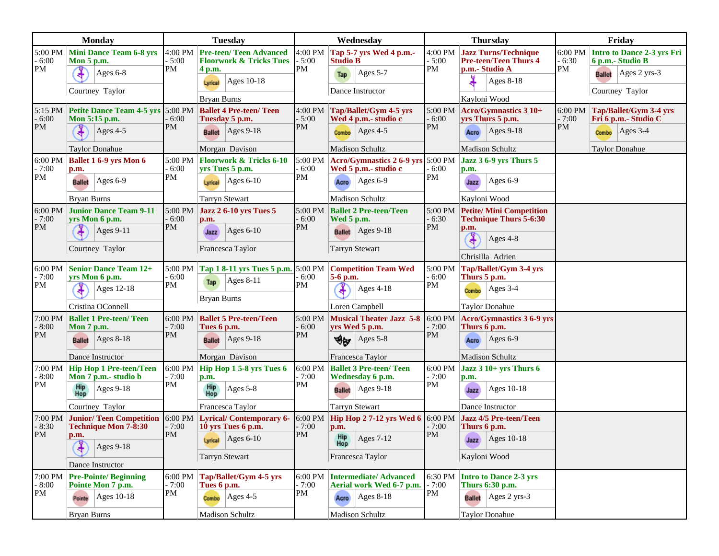| <b>Monday</b>                   |                                                                                         | <b>Tuesday</b>           |                                                                       | Wednesday                |                                                                                    | <b>Thursday</b>                    |                                                                 | Friday                   |                                                |
|---------------------------------|-----------------------------------------------------------------------------------------|--------------------------|-----------------------------------------------------------------------|--------------------------|------------------------------------------------------------------------------------|------------------------------------|-----------------------------------------------------------------|--------------------------|------------------------------------------------|
| $-6:00$<br>PM                   | 5:00 PM Mini Dance Team 6-8 yrs<br><b>Mon 5 p.m.</b>                                    | $-5:00$<br>PM            | 4:00 PM Pre-teen/ Teen Advanced<br><b>Floorwork &amp; Tricks Tues</b> | 4:00 PM<br>$-5:00$<br>PM | Tap 5-7 yrs Wed 4 p.m.-<br><b>Studio B</b>                                         | 4:00 PM<br>$-5:00$<br>PM           | <b>Jazz Turns/Technique</b><br><b>Pre-teen/Teen Thurs 4</b>     | 6:00 PM<br>$-6:30$       | Intro to Dance 2-3 yrs Fri<br>6 p.m.- Studio B |
|                                 | ¥<br>Ages 6-8                                                                           |                          | 4 p.m.<br>Ages 10-18<br>Lyrical                                       |                          | Ages $5-7$<br>Tap                                                                  |                                    | p.m.- Studio A<br>Ages 8-18                                     | PM                       | <b>Ballet</b> Ages 2 yrs-3                     |
|                                 | Courtney Taylor                                                                         |                          |                                                                       |                          | Dance Instructor                                                                   |                                    |                                                                 |                          | Courtney Taylor                                |
|                                 | <b>Bryan Burns</b><br>5:15 PM Petite Dance Team 4-5 yrs 5:00 PM Ballet 4 Pre-teen/ Teen |                          |                                                                       |                          |                                                                                    | Kayloni Wood                       |                                                                 |                          |                                                |
| $-6:00$<br>PM                   | Mon 5:15 p.m.                                                                           | $-6:00$<br>PM            | Tuesday 5 p.m.                                                        | 4:00 PM<br>$-5:00$<br>PM | Tap/Ballet/Gym 4-5 yrs<br>Wed 4 p.m.- studio c                                     | 5:00 PM<br>$-6:00$<br>PM           | $ Acco/Gymnastics 3 10+$<br>yrs Thurs 5 p.m.                    | 6:00 PM<br>$-7:00$<br>PM | Tap/Ballet/Gym 3-4 yrs<br>Fri 6 p.m.- Studio C |
|                                 | Ages $4-5$                                                                              |                          | <b>Ballet</b> Ages 9-18                                               |                          | Ages $4-5$<br>Combo                                                                |                                    | $\text{Ages } 9-18$<br>Acro                                     |                          | $\text{Ages } 3-4$<br>Combo                    |
|                                 | <b>Taylor Donahue</b>                                                                   |                          | Morgan Davison                                                        |                          | <b>Madison Schultz</b>                                                             |                                    | <b>Madison Schultz</b>                                          |                          | <b>Taylor Donahue</b>                          |
| 6:00 PM<br>$-7:00$<br>PM        | <b>Ballet 1 6-9 yrs Mon 6</b><br>p.m.                                                   | $-6:00$<br>$\mathbf{PM}$ | 5:00 PM Floorwork & Tricks 6-10<br>yrs Tues 5 p.m.                    | 5:00 PM<br>$-6:00$<br>PM | Acro/Gymnastics 2 6-9 yrs 5:00 PM<br>Wed 5 p.m.- studio c                          | - 6:00<br>PM                       | Jazz $36-9$ yrs Thurs $5$<br>p.m.                               |                          |                                                |
|                                 | Ages $6-9$<br><b>Ballet</b>                                                             |                          | $\text{Ages } 6-10$<br>Lyrical                                        |                          | $ Ages 6-9$<br>Acro                                                                |                                    | Ages $6-9$<br>Jazz                                              |                          |                                                |
|                                 | <b>Bryan Burns</b>                                                                      |                          | <b>Tarryn Stewart</b>                                                 |                          | <b>Madison Schultz</b>                                                             |                                    | Kayloni Wood                                                    |                          |                                                |
| 6:00 PM<br>$-7:00$<br><b>PM</b> | <b>Junior Dance Team 9-11</b><br>yrs Mon 6 p.m.                                         | 5:00 PM<br>$-6:00$       | <b>Jazz 2 6-10 yrs Tues 5</b><br>p.m.                                 | 5:00 PM<br>$-6:00$<br>PM | <b>Ballet 2 Pre-teen/Teen</b><br>Wed 5 p.m.                                        | 5:00 PM<br>$-6:30$<br>PM           | <b>Petite/Mini Competition</b><br><b>Technique Thurs 5-6:30</b> |                          |                                                |
|                                 | $Ages 9-11$                                                                             | PM                       | $\text{Ages } 6-10$<br>Jazz                                           |                          | <b>Ballet</b> Ages 9-18                                                            |                                    | p.m.<br>$\frac{1}{4}$<br>Ages 4-8                               |                          |                                                |
|                                 | Courtney Taylor                                                                         |                          | Francesca Taylor                                                      |                          | <b>Tarryn Stewart</b>                                                              |                                    | Chrisilla Adrien                                                |                          |                                                |
| 6:00 PM                         | <b>Senior Dance Team 12+</b>                                                            |                          | 5:00 PM   Tap 1 8-11 yrs Tues 5 p.m. 5:00 PM                          |                          | <b>Competition Team Wed</b>                                                        | Tap/Ballet/Gym 3-4 yrs<br>5:00 PM  |                                                                 |                          |                                                |
| - 7:00<br>PM                    | yrs Mon 6 p.m.                                                                          | $-6:00$<br>PM            | $ Ages 8-11$<br>Tap                                                   | - 6:00<br>PM             | 5-6 p.m.                                                                           | - 6:00<br>$\rm PM$                 | Thurs 5 p.m.                                                    |                          |                                                |
|                                 | Ages 12-18                                                                              |                          | <b>Bryan Burns</b>                                                    |                          | <b>Ages 4-18</b>                                                                   |                                    | $ {\rm Ages}$ 3-4<br>Combo                                      |                          |                                                |
|                                 | Cristina OConnell                                                                       |                          |                                                                       |                          | Loren Campbell                                                                     |                                    | <b>Taylor Donahue</b>                                           |                          |                                                |
| 7:00 PM<br>$-8:00$<br><b>PM</b> | <b>Ballet 1 Pre-teen/ Teen</b><br>Mon 7 p.m.                                            | $-7:00$<br>PM            | 6:00 PM   Ballet 5 Pre-teen/Teen<br>Tues 6 p.m.                       | 5:00 PM<br>$-6:00$<br>PM | <b>Musical Theater Jazz 5-8</b><br>yrs Wed 5 p.m.                                  | $6:00 \text{ PM}$<br>$-7:00$<br>PM | Acro/Gymnastics 3 6-9 yrs<br>Thurs 6 p.m.                       |                          |                                                |
|                                 | <b>Ballet</b> Ages 8-18                                                                 |                          | <b>Ballet</b> Ages 9-18                                               |                          | $\text{Ages } 5-8$<br>খ⊮                                                           |                                    | Ages $6-9$<br>Acro                                              |                          |                                                |
|                                 | Dance Instructor                                                                        |                          | Morgan Davison                                                        |                          | Francesca Taylor                                                                   |                                    | Madison Schultz                                                 |                          |                                                |
| 7:00 PM<br>$-8:00$<br>PM        | <b>Hip Hop 1 Pre-teen/Teen</b><br>Mon 7 p.m.- studio b                                  | $-7:00$<br>PM            | $6:00 \text{ PM}$ Hip Hop 1 5-8 yrs Tues 6<br>p.m.                    | 6:00 PM<br>$-7:00$<br>PM | <b>Ballet 3 Pre-teen/ Teen</b><br>Wednesday 6 p.m.                                 | 6:00 PM<br>$-7:00$<br>$\rm PM$     | Jazz $310+$ yrs Thurs $6$<br>p.m.                               |                          |                                                |
|                                 | Hip<br>Ages $9-18$<br>Hop                                                               |                          | Hip<br>Hop<br>$\text{Ages } 5-8$                                      |                          | <b>Ballet</b>   Ages 9-18                                                          |                                    | Ages 10-18<br>Jazz                                              |                          |                                                |
|                                 | Courtney Taylor                                                                         |                          | Francesca Taylor                                                      |                          | <b>Tarryn Stewart</b>                                                              |                                    | Dance Instructor                                                |                          |                                                |
| 7:00 PM<br>$-8:30$              | <b>Junior/Teen Competition</b><br><b>Technique Mon 7-8:30</b>                           | - 7:00<br><b>PM</b>      | 6:00 PM Lyrical/ Contemporary 6-<br>10 yrs Tues 6 p.m.                | 6:00 PM<br>$-7:00$<br>PM | Hip Hop 2 7-12 yrs Wed 6 6:00 PM<br>p.m.                                           | - 7:00                             | Jazz 4/5 Pre-teen/Teen<br>Thurs 6 p.m.                          |                          |                                                |
| <b>PM</b>                       | p.m.                                                                                    |                          | Lyrical $\Big  \text{Ages } 6 \text{-} 10 \Big $                      |                          | $\begin{array}{c c}\n\text{Hip} & \text{Ages } 7-12 \\ \text{Hop} & \n\end{array}$ | <b>PM</b>                          | $\int \frac{1}{2} \text{Jazz}$ Ages 10-18                       |                          |                                                |
|                                 | ¥<br><b>Ages 9-18</b>                                                                   |                          | <b>Tarryn Stewart</b>                                                 |                          | Francesca Taylor                                                                   |                                    | Kayloni Wood                                                    |                          |                                                |
|                                 | Dance Instructor                                                                        |                          |                                                                       |                          |                                                                                    |                                    |                                                                 |                          |                                                |
| 7:00 PM<br>$-8:00$<br>PM        | <b>Pre-Pointe/Beginning</b><br>Pointe Mon 7 p.m.                                        | 6:00 PM<br>$-7:00$<br>PM | Tap/Ballet/Gym 4-5 yrs<br>Tues 6 p.m.                                 | 6:00 PM<br>$-7:00$<br>PM | <b>Intermediate/Advanced</b><br>Aerial work Wed 6-7 p.m.                           | 6:30 PM<br>$-7:00$<br>PM           | <b>Intro to Dance 2-3 yrs</b><br>Thurs 6:30 p.m.                |                          |                                                |
|                                 | Ages $10-18$<br>Pointe                                                                  |                          | $\text{Ages } 4-5$<br>Combo                                           |                          | $ {\rm Ages}$ 8-18<br>Acro                                                         |                                    | <b>Ballet</b> $\left  \right. \right $ Ages 2 yrs-3             |                          |                                                |
|                                 | <b>Bryan Burns</b>                                                                      |                          | Madison Schultz                                                       |                          | Madison Schultz                                                                    |                                    | <b>Taylor Donahue</b>                                           |                          |                                                |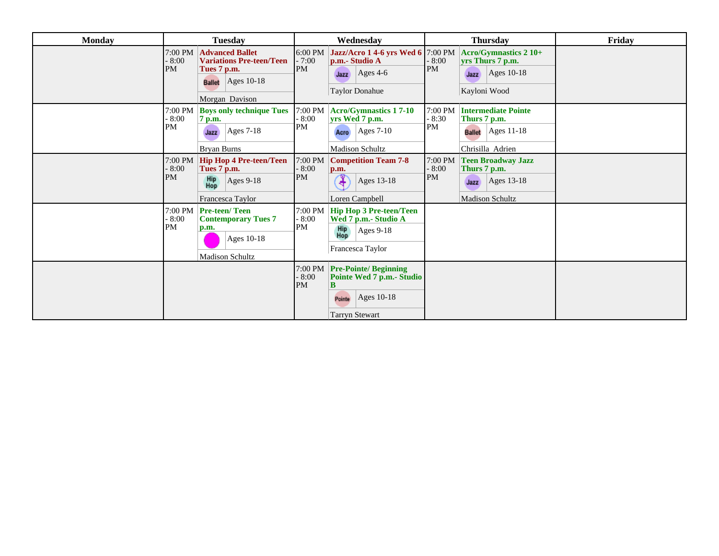| <b>Monday</b> | <b>Tuesday</b>                                                                                                                                     | Wednesday                                                                                                                                             | <b>Thursday</b>                                                                                                                    | Friday |
|---------------|----------------------------------------------------------------------------------------------------------------------------------------------------|-------------------------------------------------------------------------------------------------------------------------------------------------------|------------------------------------------------------------------------------------------------------------------------------------|--------|
|               | 7:00 PM<br><b>Advanced Ballet</b><br><b>Variations Pre-teen/Teen</b><br>$-8:00$<br>PM<br>Tues 7 p.m.<br><b>Ballet</b> Ages 10-18<br>Morgan Davison | 6:00 PM Jazz/Acro 1 4-6 yrs Wed 6 7:00 PM<br>$-7:00$<br>p.m.- Studio A<br>PM<br>Ages 4-6<br>Jazz<br><b>Taylor Donahue</b>                             | Acro/Gymnastics 2 10+<br>$-8:00$<br>yrs Thurs 7 p.m.<br>PM<br>Ages 10-18<br>Jazz<br>Kayloni Wood                                   |        |
|               | 7:00 PM<br><b>Boys only technique Tues</b><br>$-8:00$<br>7 p.m.<br>PM<br>$\text{Ages } 7-18$<br>Jazz<br><b>Bryan Burns</b>                         | $7:00$ PM<br><b>Acro/Gymnastics 17-10</b><br>$-8:00$<br>yrs Wed 7 p.m.<br>PM<br>$ {\rm Ages\ 7-10} $<br>Acro<br><b>Madison Schultz</b>                | 7:00 PM<br><b>Intermediate Pointe</b><br>$-8:30$<br>Thurs 7 p.m.<br>PM<br>$ {\rm Ages} 11-18$<br><b>Ballet</b><br>Chrisilla Adrien |        |
|               | $7:00$ PM<br><b>Hip Hop 4 Pre-teen/Teen</b><br>$-8:00$<br>Tues 7 p.m.<br>PM<br>Hip<br>Hop<br>Ages 9-18<br>Francesca Taylor                         | $7:00 \text{ PM}$<br><b>Competition Team 7-8</b><br>$-8:00$<br>p.m.<br>PM<br>Ages 13-18<br>4<br>Loren Campbell                                        | 7:00 PM<br><b>Teen Broadway Jazz</b><br>$-8:00$<br>Thurs 7 p.m.<br>PM<br>Ages 13-18<br>Jazz<br><b>Madison Schultz</b>              |        |
|               | 7:00 PM   Pre-teen/ Teen<br>$-8:00$<br><b>Contemporary Tues 7</b><br>PM<br>p.m.<br>Ages 10-18<br><b>Madison Schultz</b>                            | 7:00 PM<br><b>Hip Hop 3 Pre-teen/Teen</b><br>$-8:00$<br>Wed 7 p.m.- Studio A<br>PM<br>Hip<br>Hop<br>Ages $9-18$<br>Francesca Taylor                   |                                                                                                                                    |        |
|               |                                                                                                                                                    | $7:00 \text{ PM}$ Pre-Pointe/ Beginning<br>$-8:00$<br>Pointe Wed 7 p.m.- Studio<br>PM<br>B<br>$ {\rm Ages 10-18} $<br>Pointe<br><b>Tarryn Stewart</b> |                                                                                                                                    |        |